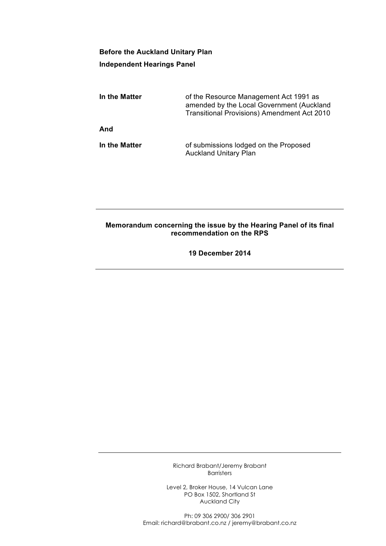## **Before the Auckland Unitary Plan Independent Hearings Panel**

| In the Matter | of the Resource Management Act 1991 as<br>amended by the Local Government (Auckland<br><b>Transitional Provisions) Amendment Act 2010</b> |
|---------------|-------------------------------------------------------------------------------------------------------------------------------------------|
| And           |                                                                                                                                           |
| In the Matter | of submissions lodged on the Proposed<br><b>Auckland Unitary Plan</b>                                                                     |

## **Memorandum concerning the issue by the Hearing Panel of its final recommendation on the RPS**

**19 December 2014**

Richard Brabant/Jeremy Brabant Barristers

Level 2, Broker House, 14 Vulcan Lane PO Box 1502, Shortland St Auckland City

Ph: 09 306 2900/ 306 2901 Email: richard@brabant.co.nz / jeremy@brabant.co.nz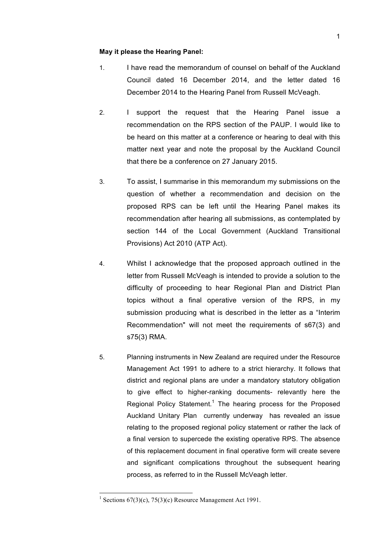## **May it please the Hearing Panel:**

- 1. I have read the memorandum of counsel on behalf of the Auckland Council dated 16 December 2014, and the letter dated 16 December 2014 to the Hearing Panel from Russell McVeagh.
- 2. I support the request that the Hearing Panel issue a recommendation on the RPS section of the PAUP. I would like to be heard on this matter at a conference or hearing to deal with this matter next year and note the proposal by the Auckland Council that there be a conference on 27 January 2015.
- 3. To assist, I summarise in this memorandum my submissions on the question of whether a recommendation and decision on the proposed RPS can be left until the Hearing Panel makes its recommendation after hearing all submissions, as contemplated by section 144 of the Local Government (Auckland Transitional Provisions) Act 2010 (ATP Act).
- 4. Whilst I acknowledge that the proposed approach outlined in the letter from Russell McVeagh is intended to provide a solution to the difficulty of proceeding to hear Regional Plan and District Plan topics without a final operative version of the RPS, in my submission producing what is described in the letter as a "Interim Recommendation" will not meet the requirements of s67(3) and s75(3) RMA.
- 5. Planning instruments in New Zealand are required under the Resource Management Act 1991 to adhere to a strict hierarchy. It follows that district and regional plans are under a mandatory statutory obligation to give effect to higher-ranking documents- relevantly here the Regional Policy Statement.<sup>1</sup> The hearing process for the Proposed Auckland Unitary Plan currently underway has revealed an issue relating to the proposed regional policy statement or rather the lack of a final version to supercede the existing operative RPS. The absence of this replacement document in final operative form will create severe and significant complications throughout the subsequent hearing process, as referred to in the Russell McVeagh letter.

<sup>&</sup>lt;sup>1</sup> Sections 67(3)(c), 75(3)(c) Resource Management Act 1991.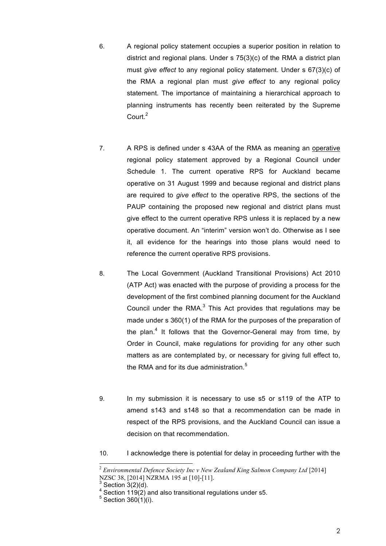- 6. A regional policy statement occupies a superior position in relation to district and regional plans. Under s 75(3)(c) of the RMA a district plan must *give effect* to any regional policy statement. Under s 67(3)(c) of the RMA a regional plan must *give effect* to any regional policy statement. The importance of maintaining a hierarchical approach to planning instruments has recently been reiterated by the Supreme Court.<sup>2</sup>
- 7. A RPS is defined under s 43AA of the RMA as meaning an operative regional policy statement approved by a Regional Council under Schedule 1. The current operative RPS for Auckland became operative on 31 August 1999 and because regional and district plans are required to *give effect* to the operative RPS, the sections of the PAUP containing the proposed new regional and district plans must give effect to the current operative RPS unless it is replaced by a new operative document. An "interim" version won't do. Otherwise as I see it, all evidence for the hearings into those plans would need to reference the current operative RPS provisions.
- 8. The Local Government (Auckland Transitional Provisions) Act 2010 (ATP Act) was enacted with the purpose of providing a process for the development of the first combined planning document for the Auckland Council under the RMA. $3$  This Act provides that regulations may be made under s 360(1) of the RMA for the purposes of the preparation of the plan.<sup>4</sup> It follows that the Governor-General may from time, by Order in Council, make regulations for providing for any other such matters as are contemplated by, or necessary for giving full effect to, the RMA and for its due administration. $5$
- 9. In my submission it is necessary to use s5 or s119 of the ATP to amend s143 and s148 so that a recommendation can be made in respect of the RPS provisions, and the Auckland Council can issue a decision on that recommendation.
- 10. I acknowledge there is potential for delay in proceeding further with the

<sup>2</sup> *Environmental Defence Society Inc v New Zealand King Salmon Company Ltd* [2014] NZSC 38, [2014] NZRMA 195 at [10]-[11].<br><sup>3</sup> Section 3(2)(d).

 $4/$  Section 119(2) and also transitional regulations under s5.

Section 360(1)(i).